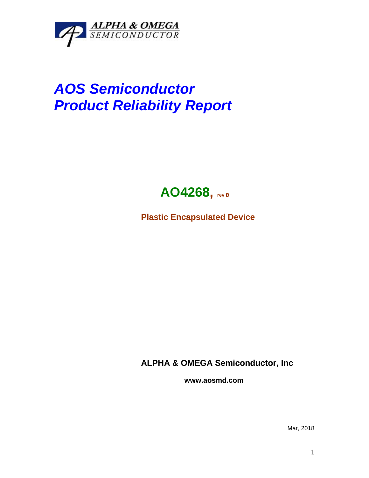

## *AOS Semiconductor Product Reliability Report*



**Plastic Encapsulated Device**

**ALPHA & OMEGA Semiconductor, Inc**

**www.aosmd.com**

Mar, 2018